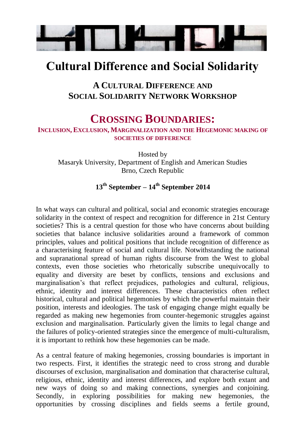

## **Cultural Difference and Social Solidarity**

## **A CULTURAL DIFFERENCE AND SOCIAL SOLIDARITY NETWORK WORKSHOP**

## **CROSSING BOUNDARIES:**

**INCLUSION, EXCLUSION, MARGINALIZATION AND THE HEGEMONIC MAKING OF SOCIETIES OF DIFFERENCE**

Hosted by Masaryk University, Department of English and American Studies Brno, Czech Republic

## **13th September – 14th September 2014**

In what ways can cultural and political, social and economic strategies encourage solidarity in the context of respect and recognition for difference in 21st Century societies? This is a central question for those who have concerns about building societies that balance inclusive solidarities around a framework of common principles, values and political positions that include recognition of difference as a characterising feature of social and cultural life. Notwithstanding the national and supranational spread of human rights discourse from the West to global contexts, even those societies who rhetorically subscribe unequivocally to equality and diversity are beset by conflicts, tensions and exclusions and marginalisation's that reflect prejudices, pathologies and cultural, religious, ethnic, identity and interest differences. These characteristics often reflect historical, cultural and political hegemonies by which the powerful maintain their position, interests and ideologies. The task of engaging change might equally be regarded as making new hegemonies from counter-hegemonic struggles against exclusion and marginalisation. Particularly given the limits to legal change and the failures of policy-oriented strategies since the emergence of multi-culturalism, it is important to rethink how these hegemonies can be made.

As a central feature of making hegemonies, crossing boundaries is important in two respects. First, it identifies the strategic need to cross strong and durable discourses of exclusion, marginalisation and domination that characterise cultural, religious, ethnic, identity and interest differences, and explore both extant and new ways of doing so and making connections, synergies and conjoining. Secondly, in exploring possibilities for making new hegemonies, the opportunities by crossing disciplines and fields seems a fertile ground,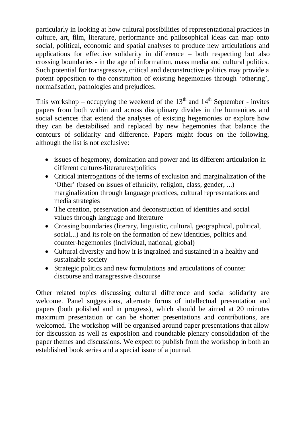particularly in looking at how cultural possibilities of representational practices in culture, art, film, literature, performance and philosophical ideas can map onto social, political, economic and spatial analyses to produce new articulations and applications for effective solidarity in difference – both respecting but also crossing boundaries - in the age of information, mass media and cultural politics. Such potential for transgressive, critical and deconstructive politics may provide a potent opposition to the constitution of existing hegemonies through 'othering', normalisation, pathologies and prejudices.

This workshop – occupying the weekend of the  $13<sup>th</sup>$  and  $14<sup>th</sup>$  September - invites papers from both within and across disciplinary divides in the humanities and social sciences that extend the analyses of existing hegemonies or explore how they can be destabilised and replaced by new hegemonies that balance the contours of solidarity and difference. Papers might focus on the following, although the list is not exclusive:

- issues of hegemony, domination and power and its different articulation in different cultures/literatures/politics
- Critical interrogations of the terms of exclusion and marginalization of the 'Other' (based on issues of ethnicity, religion, class, gender, ...) marginalization through language practices, cultural representations and media strategies
- The creation, preservation and deconstruction of identities and social values through language and literature
- Crossing boundaries (literary, linguistic, cultural, geographical, political, social...) and its role on the formation of new identities, politics and counter-hegemonies (individual, national, global)
- Cultural diversity and how it is ingrained and sustained in a healthy and sustainable society
- Strategic politics and new formulations and articulations of counter discourse and transgressive discourse

Other related topics discussing cultural difference and social solidarity are welcome. Panel suggestions, alternate forms of intellectual presentation and papers (both polished and in progress), which should be aimed at 20 minutes maximum presentation or can be shorter presentations and contributions, are welcomed. The workshop will be organised around paper presentations that allow for discussion as well as exposition and roundtable plenary consolidation of the paper themes and discussions. We expect to publish from the workshop in both an established book series and a special issue of a journal.